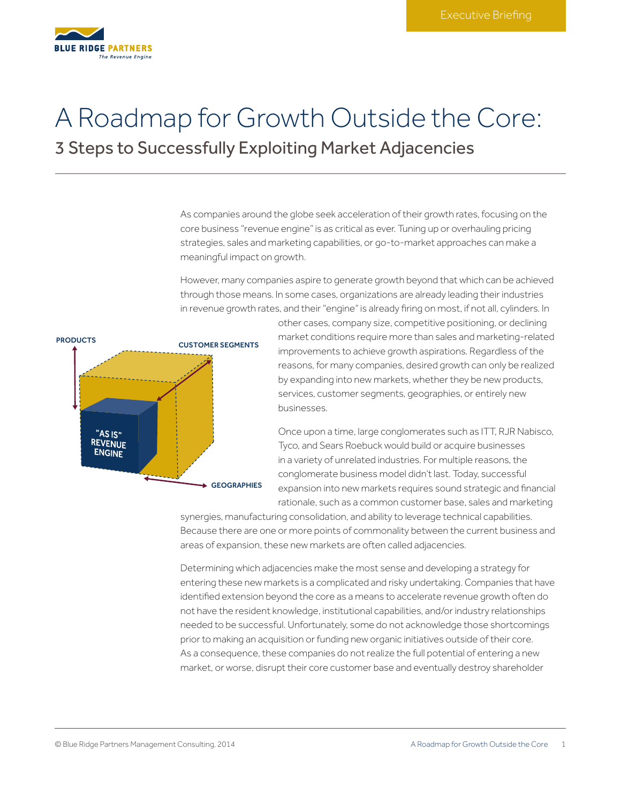

# A Roadmap for Growth Outside the Core:

3 Steps to Successfully Exploiting Market Adjacencies

As companies around the globe seek acceleration of their growth rates, focusing on the core business "revenue engine" is as critical as ever. Tuning up or overhauling pricing strategies, sales and marketing capabilities, or go-to-market approaches can make a meaningful impact on growth.

However, many companies aspire to generate growth beyond that which can be achieved through those means. In some cases, organizations are already leading their industries in revenue growth rates, and their "engine" is already firing on most, if not all, cylinders. In



other cases, company size, competitive positioning, or declining market conditions require more than sales and marketing-related improvements to achieve growth aspirations. Regardless of the reasons, for many companies, desired growth can only be realized by expanding into new markets, whether they be new products, services, customer segments, geographies, or entirely new businesses.

Once upon a time, large conglomerates such as ITT, RJR Nabisco, Tyco, and Sears Roebuck would build or acquire businesses in a variety of unrelated industries. For multiple reasons, the conglomerate business model didn't last. Today, successful expansion into new markets requires sound strategic and financial rationale, such as a common customer base, sales and marketing

synergies, manufacturing consolidation, and ability to leverage technical capabilities. Because there are one or more points of commonality between the current business and areas of expansion, these new markets are often called adjacencies.

Determining which adjacencies make the most sense and developing a strategy for entering these new markets is a complicated and risky undertaking. Companies that have identified extension beyond the core as a means to accelerate revenue growth often do not have the resident knowledge, institutional capabilities, and/or industry relationships needed to be successful. Unfortunately, some do not acknowledge those shortcomings prior to making an acquisition or funding new organic initiatives outside of their core. As a consequence, these companies do not realize the full potential of entering a new market, or worse, disrupt their core customer base and eventually destroy shareholder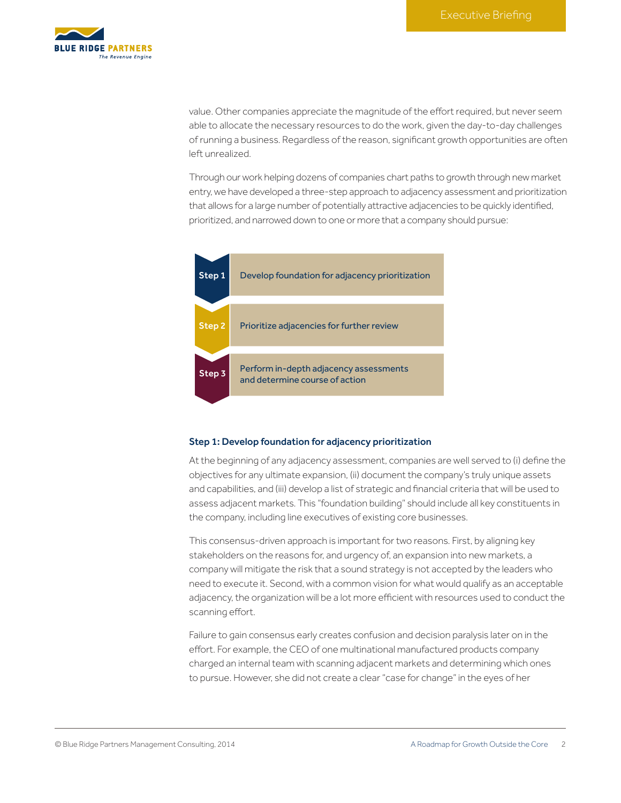

value. Other companies appreciate the magnitude of the effort required, but never seem able to allocate the necessary resources to do the work, given the day-to-day challenges of running a business. Regardless of the reason, significant growth opportunities are often left unrealized.

Through our work helping dozens of companies chart paths to growth through new market entry, we have developed a three-step approach to adjacency assessment and prioritization that allows for a large number of potentially attractive adjacencies to be quickly identified, prioritized, and narrowed down to one or more that a company should pursue:



#### Step 1: Develop foundation for adjacency prioritization

At the beginning of any adjacency assessment, companies are well served to (i) define the objectives for any ultimate expansion, (ii) document the company's truly unique assets and capabilities, and (iii) develop a list of strategic and financial criteria that will be used to assess adjacent markets. This "foundation building" should include all key constituents in the company, including line executives of existing core businesses.

This consensus-driven approach is important for two reasons. First, by aligning key stakeholders on the reasons for, and urgency of, an expansion into new markets, a company will mitigate the risk that a sound strategy is not accepted by the leaders who need to execute it. Second, with a common vision for what would qualify as an acceptable adjacency, the organization will be a lot more efficient with resources used to conduct the scanning effort.

Failure to gain consensus early creates confusion and decision paralysis later on in the effort. For example, the CEO of one multinational manufactured products company charged an internal team with scanning adjacent markets and determining which ones to pursue. However, she did not create a clear "case for change" in the eyes of her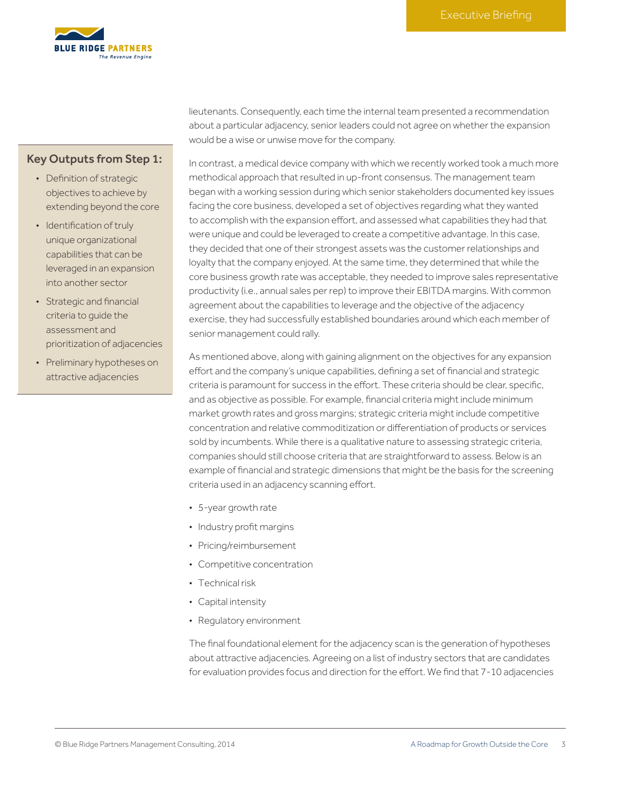

## Key Outputs from Step 1:

- Definition of strategic objectives to achieve by extending beyond the core
- Identification of truly unique organizational capabilities that can be leveraged in an expansion into another sector
- Strategic and financial criteria to guide the assessment and prioritization of adjacencies
- Preliminary hypotheses on attractive adjacencies

lieutenants. Consequently, each time the internal team presented a recommendation about a particular adjacency, senior leaders could not agree on whether the expansion would be a wise or unwise move for the company.

In contrast, a medical device company with which we recently worked took a much more methodical approach that resulted in up-front consensus. The management team began with a working session during which senior stakeholders documented key issues facing the core business, developed a set of objectives regarding what they wanted to accomplish with the expansion effort, and assessed what capabilities they had that were unique and could be leveraged to create a competitive advantage. In this case, they decided that one of their strongest assets was the customer relationships and loyalty that the company enjoyed. At the same time, they determined that while the core business growth rate was acceptable, they needed to improve sales representative productivity (i.e., annual sales per rep) to improve their EBITDA margins. With common agreement about the capabilities to leverage and the objective of the adjacency exercise, they had successfully established boundaries around which each member of senior management could rally.

As mentioned above, along with gaining alignment on the objectives for any expansion effort and the company's unique capabilities, defining a set of financial and strategic criteria is paramount for success in the effort. These criteria should be clear, specific, and as objective as possible. For example, financial criteria might include minimum market growth rates and gross margins; strategic criteria might include competitive concentration and relative commoditization or differentiation of products or services sold by incumbents. While there is a qualitative nature to assessing strategic criteria, companies should still choose criteria that are straightforward to assess. Below is an example of financial and strategic dimensions that might be the basis for the screening criteria used in an adjacency scanning effort.

- 5-year growth rate
- Industry profit margins
- Pricing/reimbursement
- Competitive concentration
- Technical risk
- Capital intensity
- Regulatory environment

The final foundational element for the adjacency scan is the generation of hypotheses about attractive adjacencies. Agreeing on a list of industry sectors that are candidates for evaluation provides focus and direction for the effort. We find that 7-10 adjacencies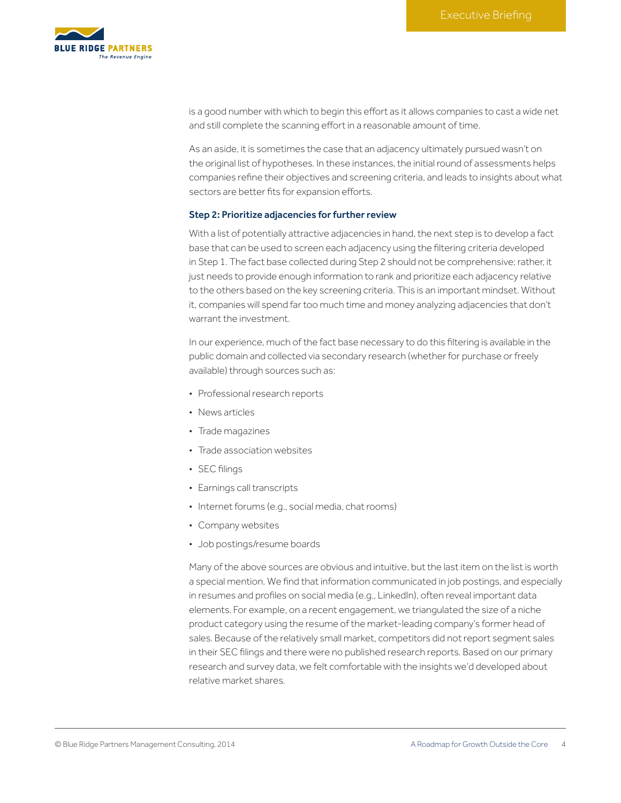

is a good number with which to begin this effort as it allows companies to cast a wide net and still complete the scanning effort in a reasonable amount of time.

As an aside, it is sometimes the case that an adjacency ultimately pursued wasn't on the original list of hypotheses. In these instances, the initial round of assessments helps companies refine their objectives and screening criteria, and leads to insights about what sectors are better fits for expansion efforts.

### Step 2: Prioritize adjacencies for further review

With a list of potentially attractive adjacencies in hand, the next step is to develop a fact base that can be used to screen each adjacency using the filtering criteria developed in Step 1. The fact base collected during Step 2 should not be comprehensive; rather, it just needs to provide enough information to rank and prioritize each adjacency relative to the others based on the key screening criteria. This is an important mindset. Without it, companies will spend far too much time and money analyzing adjacencies that don't warrant the investment.

In our experience, much of the fact base necessary to do this filtering is available in the public domain and collected via secondary research (whether for purchase or freely available) through sources such as:

- Professional research reports
- News articles
- Trade magazines
- Trade association websites
- SEC filings
- Earnings call transcripts
- Internet forums (e.g., social media, chat rooms)
- Company websites
- Job postings/resume boards

Many of the above sources are obvious and intuitive, but the last item on the list is worth a special mention. We find that information communicated in job postings, and especially in resumes and profiles on social media (e.g., LinkedIn), often reveal important data elements. For example, on a recent engagement, we triangulated the size of a niche product category using the resume of the market-leading company's former head of sales. Because of the relatively small market, competitors did not report segment sales in their SEC filings and there were no published research reports. Based on our primary research and survey data, we felt comfortable with the insights we'd developed about relative market shares.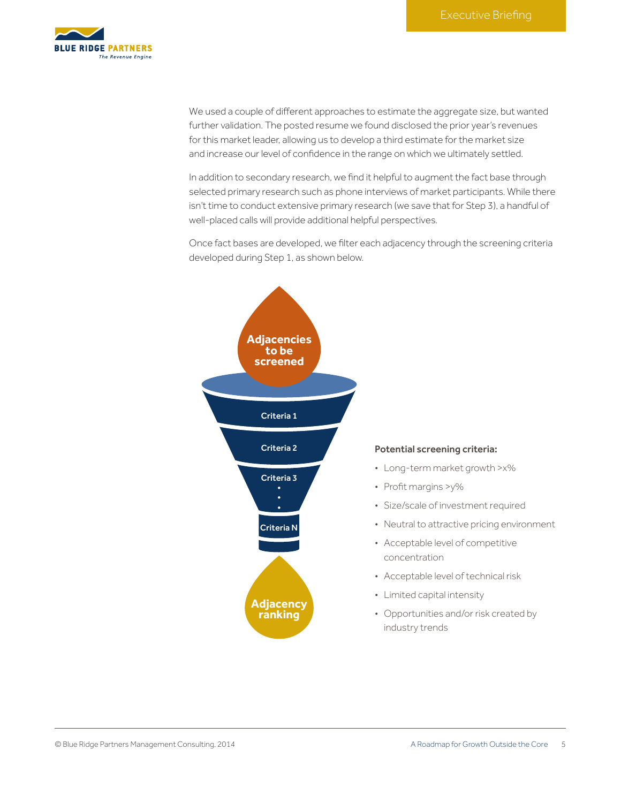

We used a couple of different approaches to estimate the aggregate size, but wanted further validation. The posted resume we found disclosed the prior year's revenues for this market leader, allowing us to develop a third estimate for the market size and increase our level of confidence in the range on which we ultimately settled.

In addition to secondary research, we find it helpful to augment the fact base through selected primary research such as phone interviews of market participants. While there isn't time to conduct extensive primary research (we save that for Step 3), a handful of well-placed calls will provide additional helpful perspectives.

Once fact bases are developed, we filter each adjacency through the screening criteria developed during Step 1, as shown below.

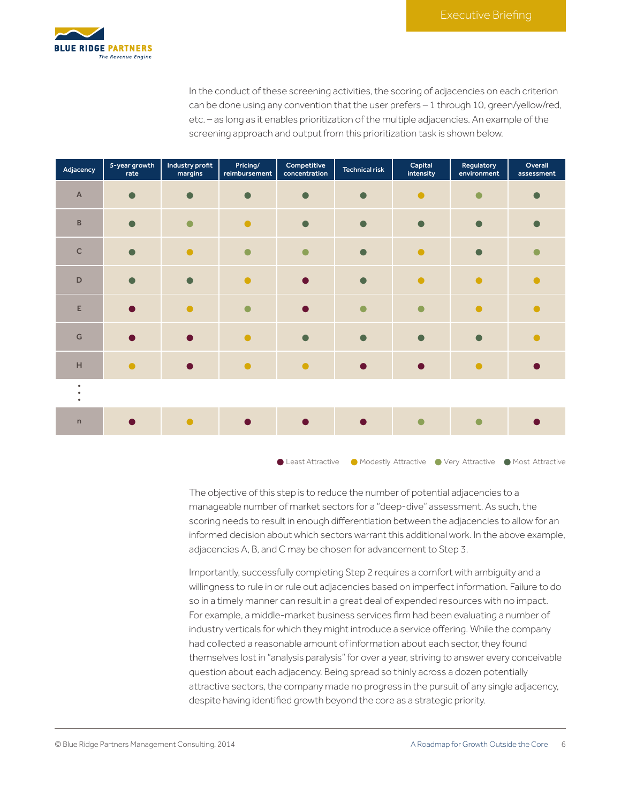

In the conduct of these screening activities, the scoring of adjacencies on each criterion can be done using any convention that the user prefers – 1 through 10, green/yellow/red, etc. – as long as it enables prioritization of the multiple adjacencies. An example of the screening approach and output from this prioritization task is shown below.

| Adjacency                                           | 5-year growth<br>rate | Industry profit<br>margins | Pricing/<br>reimbursement | Competitive<br>concentration | Technical risk | Capital<br>intensity | Regulatory<br>environment | Overall<br>assessment |
|-----------------------------------------------------|-----------------------|----------------------------|---------------------------|------------------------------|----------------|----------------------|---------------------------|-----------------------|
| $\overline{A}$                                      |                       |                            |                           | ┍                            |                | $\bullet$            |                           |                       |
| $\sf{B}$                                            |                       |                            |                           |                              |                |                      |                           |                       |
| $\mathsf C$                                         |                       |                            |                           |                              |                |                      |                           |                       |
| $\mathsf{D}$                                        |                       |                            |                           |                              |                | $\bullet$            | $\bullet$                 |                       |
| E                                                   |                       |                            |                           |                              |                |                      |                           |                       |
| ${\mathsf G}$                                       |                       |                            |                           | ┏                            |                |                      |                           |                       |
| $\mathsf{H}% _{0}\left( \mathsf{H}_{0}\right) ^{T}$ | $\bullet$             |                            |                           |                              |                |                      | $\bullet$                 |                       |
| $\bullet$<br>$\bullet$                              |                       |                            |                           |                              |                |                      |                           |                       |
| $\mathsf{n}$                                        |                       |                            |                           |                              |                |                      |                           |                       |
|                                                     |                       |                            |                           |                              |                |                      |                           |                       |

•Least Attractive •• Modestly Attractive •• Very Attractive •• Most Attractive

The objective of this step is to reduce the number of potential adjacencies to a manageable number of market sectors for a "deep-dive" assessment. As such, the scoring needs to result in enough differentiation between the adjacencies to allow for an informed decision about which sectors warrant this additional work. In the above example, adjacencies A, B, and C may be chosen for advancement to Step 3.

Importantly, successfully completing Step 2 requires a comfort with ambiguity and a willingness to rule in or rule out adjacencies based on imperfect information. Failure to do so in a timely manner can result in a great deal of expended resources with no impact. For example, a middle-market business services firm had been evaluating a number of industry verticals for which they might introduce a service offering. While the company had collected a reasonable amount of information about each sector, they found themselves lost in "analysis paralysis" for over a year, striving to answer every conceivable question about each adjacency. Being spread so thinly across a dozen potentially attractive sectors, the company made no progress in the pursuit of any single adjacency, despite having identified growth beyond the core as a strategic priority.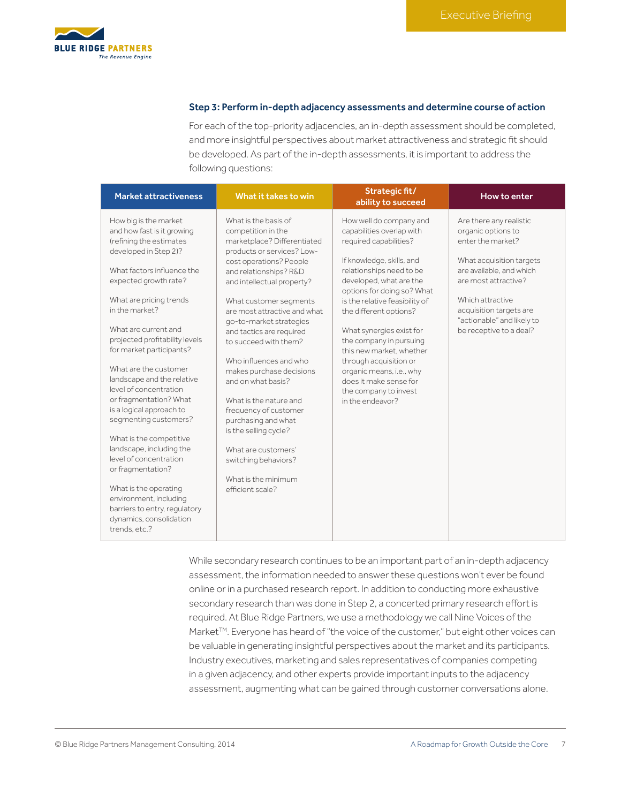

#### Step 3: Perform in-depth adjacency assessments and determine course of action

For each of the top-priority adjacencies, an in-depth assessment should be completed, and more insightful perspectives about market attractiveness and strategic fit should be developed. As part of the in-depth assessments, it is important to address the following questions:

| <b>Market attractiveness</b>                                                                                                                                                                                                                                                                                                                                                                                                                                                                                                                                                                                                                                                                           | What it takes to win                                                                                                                                                                                                                                                                                                                                                                                                                                                                                                                                                                                          | Strategic fit/<br>ability to succeed                                                                                                                                                                                                                                                                                                                                                                                                                                         | How to enter                                                                                                                                                                                                                                               |
|--------------------------------------------------------------------------------------------------------------------------------------------------------------------------------------------------------------------------------------------------------------------------------------------------------------------------------------------------------------------------------------------------------------------------------------------------------------------------------------------------------------------------------------------------------------------------------------------------------------------------------------------------------------------------------------------------------|---------------------------------------------------------------------------------------------------------------------------------------------------------------------------------------------------------------------------------------------------------------------------------------------------------------------------------------------------------------------------------------------------------------------------------------------------------------------------------------------------------------------------------------------------------------------------------------------------------------|------------------------------------------------------------------------------------------------------------------------------------------------------------------------------------------------------------------------------------------------------------------------------------------------------------------------------------------------------------------------------------------------------------------------------------------------------------------------------|------------------------------------------------------------------------------------------------------------------------------------------------------------------------------------------------------------------------------------------------------------|
| How big is the market<br>and how fast is it growing<br>(refining the estimates<br>developed in Step 2)?<br>What factors influence the<br>expected growth rate?<br>What are pricing trends<br>in the market?<br>What are current and<br>projected profitability levels<br>for market participants?<br>What are the customer<br>landscape and the relative<br>level of concentration<br>or fragmentation? What<br>is a logical approach to<br>segmenting customers?<br>What is the competitive<br>landscape, including the<br>level of concentration<br>or fragmentation?<br>What is the operating<br>environment, including<br>barriers to entry, regulatory<br>dynamics, consolidation<br>trends.etc.? | What is the basis of<br>competition in the<br>marketplace? Differentiated<br>products or services? Low-<br>cost operations? People<br>and relationships? R&D<br>and intellectual property?<br>What customer segments<br>are most attractive and what<br>go-to-market strategies<br>and tactics are required<br>to succeed with them?<br>Who influences and who<br>makes purchase decisions<br>and on what basis?<br>What is the nature and<br>frequency of customer<br>purchasing and what<br>is the selling cycle?<br>What are customers'<br>switching behaviors?<br>What is the minimum<br>efficient scale? | How well do company and<br>capabilities overlap with<br>required capabilities?<br>If knowledge, skills, and<br>relationships need to be<br>developed, what are the<br>options for doing so? What<br>is the relative feasibility of<br>the different options?<br>What synergies exist for<br>the company in pursuing<br>this new market, whether<br>through acquisition or<br>organic means, i.e., why<br>does it make sense for<br>the company to invest<br>in the endeavor? | Are there any realistic<br>organic options to<br>enter the market?<br>What acquisition targets<br>are available, and which<br>are most attractive?<br>Which attractive<br>acquisition targets are<br>"actionable" and likely to<br>be receptive to a deal? |
|                                                                                                                                                                                                                                                                                                                                                                                                                                                                                                                                                                                                                                                                                                        |                                                                                                                                                                                                                                                                                                                                                                                                                                                                                                                                                                                                               |                                                                                                                                                                                                                                                                                                                                                                                                                                                                              |                                                                                                                                                                                                                                                            |

While secondary research continues to be an important part of an in-depth adjacency assessment, the information needed to answer these questions won't ever be found online or in a purchased research report. In addition to conducting more exhaustive secondary research than was done in Step 2, a concerted primary research effort is required. At Blue Ridge Partners, we use a methodology we call Nine Voices of the Market™. Everyone has heard of "the voice of the customer," but eight other voices can be valuable in generating insightful perspectives about the market and its participants. Industry executives, marketing and sales representatives of companies competing in a given adjacency, and other experts provide important inputs to the adjacency assessment, augmenting what can be gained through customer conversations alone.